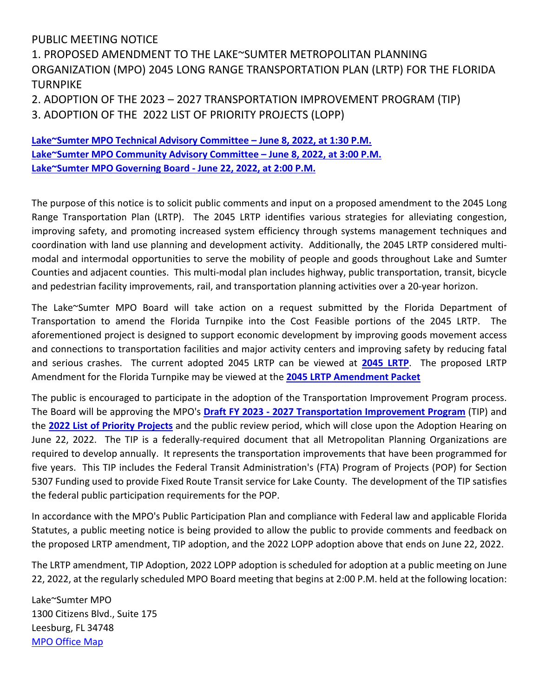## PUBLIC MEETING NOTICE

1. PROPOSED AMENDMENT TO THE LAKE~SUMTER METROPOLITAN PLANNING ORGANIZATION (MPO) 2045 LONG RANGE TRANSPORTATION PLAN (LRTP) FOR THE FLORIDA TURNPIKE

2. ADOPTION OF THE 2023 – 2027 TRANSPORTATION IMPROVEMENT PROGRAM (TIP) 3. ADOPTION OF THE 2022 LIST OF PRIORITY PROJECTS (LOPP)

**[Lake~Sumter MPO Technical Advisory Committee –](http://www.lakesumtermpo.com/calendar/) June 8, 2022, at 1:30 P.M. [Lake~Sumter MPO Community Advisory Committee –](http://www.lakesumtermpo.com/calendar/) June 8, 2022, at 3:00 P.M. [Lake~Sumter MPO Governing Board -](http://www.lakesumtermpo.com/calendar/) June 22, 2022, at 2:00 P.M.**

The purpose of this notice is to solicit public comments and input on a proposed amendment to the 2045 Long Range Transportation Plan (LRTP). The 2045 LRTP identifies various strategies for alleviating congestion, improving safety, and promoting increased system efficiency through systems management techniques and coordination with land use planning and development activity. Additionally, the 2045 LRTP considered multimodal and intermodal opportunities to serve the mobility of people and goods throughout Lake and Sumter Counties and adjacent counties. This multi-modal plan includes highway, public transportation, transit, bicycle and pedestrian facility improvements, rail, and transportation planning activities over a 20-year horizon.

The Lake~Sumter MPO Board will take action on a request submitted by the Florida Department of Transportation to amend the Florida Turnpike into the Cost Feasible portions of the 2045 LRTP. The aforementioned project is designed to support economic development by improving goods movement access and connections to transportation facilities and major activity centers and improving safety by reducing fatal and serious crashes. The current adopted 2045 LRTP can be viewed at **[2045 LRTP](http://www.lakesumtermpo.com/media/k45hpyix/lsmpo_2045-lrtp_final-report-adav1.pdf)**. The proposed LRTP Amendment for the Florida Turnpike may be viewed at the **[2045 LRTP Amendment Packet](http://www.lakesumtermpo.com/media/zael0zus/lsmpo_2045-lrtp_amendment_june-2022_agenda.pdf)**

The public is encouraged to participate in the adoption of the Transportation Improvement Program process. The Board will be approving the MPO's **Draft FY 2023 - [2027 Transportation Improvement Program](http://www.lakesumtermpo.com/media/0ysgi5ja/lsmpo2022tipreportjune012022-1.pdf)** (TIP) and the **[2022 List of Priority Projects](http://www.lakesumtermpo.com/media/f32bmcpz/2022-lsmpo-lopp_final-draft_june-committee-agenda_06-01-2022.pdf)** and the public review period, which will close upon the Adoption Hearing on June 22, 2022. The TIP is a federally-required document that all Metropolitan Planning Organizations are required to develop annually. It represents the transportation improvements that have been programmed for five years. This TIP includes the Federal Transit Administration's (FTA) Program of Projects (POP) for Section 5307 Funding used to provide Fixed Route Transit service for Lake County. The development of the TIP satisfies the federal public participation requirements for the POP.

In accordance with the MPO's Public Participation Plan and compliance with Federal law and applicable Florida Statutes, a public meeting notice is being provided to allow the public to provide comments and feedback on the proposed LRTP amendment, TIP adoption, and the 2022 LOPP adoption above that ends on June 22, 2022.

The LRTP amendment, TIP Adoption, 2022 LOPP adoption is scheduled for adoption at a public meeting on June 22, 2022, at the regularly scheduled MPO Board meeting that begins at 2:00 P.M. held at the following location:

Lake~Sumter MPO 1300 Citizens Blvd., Suite 175 Leesburg, FL 34748 MPO Office Map